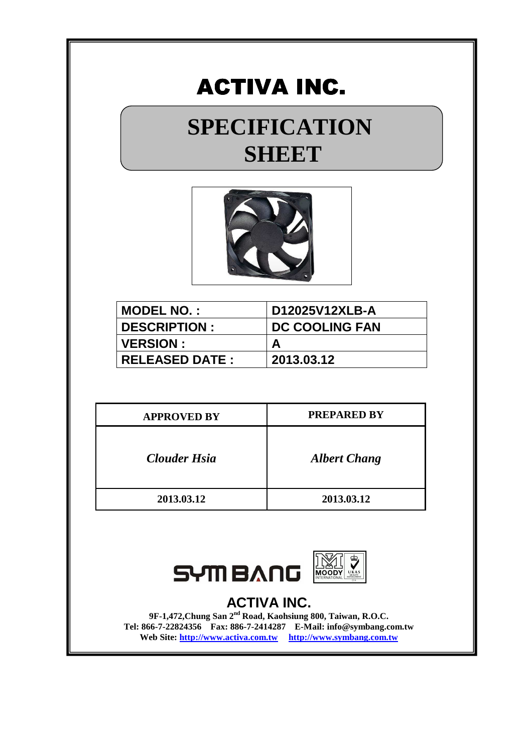## **SPECIFICATION SHEET**



| <b>MODEL NO.:</b>     | D12025V12XLB-A        |
|-----------------------|-----------------------|
| <b>DESCRIPTION:</b>   | <b>DC COOLING FAN</b> |
| <b>VERSION:</b>       | A                     |
| <b>RELEASED DATE:</b> | 2013.03.12            |

| <b>APPROVED BY</b>  | <b>PREPARED BY</b>  |
|---------------------|---------------------|
| <b>Clouder Hsia</b> | <b>Albert Chang</b> |
| 2013.03.12          | 2013.03.12          |



### **ACTIVA INC.**

**9F-1,472,Chung San 2nd Road, Kaohsiung 800, Taiwan, R.O.C. Tel: 866-7-22824356 Fax: 886-7-2414287 E-Mail: info@symbang.com.tw**  Web Site: http://www.activa.com.tw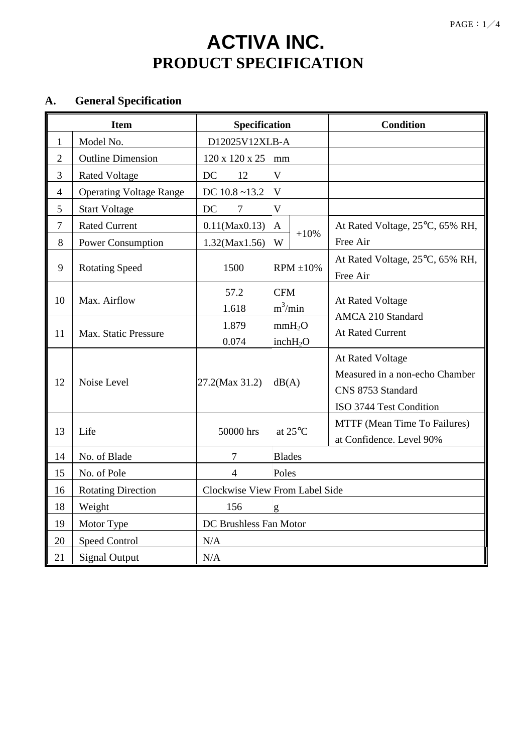## **ACTIVA INC. PRODUCT SPECIFICATION**

## **A. General Specification**

| <b>Item</b>      |                                | Specification                  |                                            | <b>Condition</b>                                                                                   |
|------------------|--------------------------------|--------------------------------|--------------------------------------------|----------------------------------------------------------------------------------------------------|
| $\mathbf{1}$     | Model No.                      | D12025V12XLB-A                 |                                            |                                                                                                    |
| $\overline{2}$   | <b>Outline Dimension</b>       | 120 x 120 x 25 mm              |                                            |                                                                                                    |
| 3                | <b>Rated Voltage</b>           | DC<br>12                       | $\mathbf{V}$                               |                                                                                                    |
| $\overline{4}$   | <b>Operating Voltage Range</b> | DC $10.8 - 13.2$               | V                                          |                                                                                                    |
| 5                | <b>Start Voltage</b>           | <b>DC</b><br>$\tau$            | $\mathbf{V}$                               |                                                                                                    |
| $\boldsymbol{7}$ | <b>Rated Current</b>           | $0.11$ (Max $0.13$ )           | $\mathbf{A}$                               | At Rated Voltage, 25°C, 65% RH,                                                                    |
| 8                | Power Consumption              | $1.32$ (Max1.56)               | $+10%$<br>W                                | Free Air                                                                                           |
| 9                | <b>Rotating Speed</b>          | 1500                           | $RPM \pm 10\%$                             | At Rated Voltage, 25°C, 65% RH,<br>Free Air                                                        |
| 10               | Max. Airflow                   | 57.2<br>1.618                  | <b>CFM</b><br>$m^3/m$ in                   | At Rated Voltage                                                                                   |
| 11               | Max. Static Pressure           | 1.879<br>0.074                 | mmH <sub>2</sub> O<br>inchH <sub>2</sub> O | <b>AMCA 210 Standard</b><br><b>At Rated Current</b>                                                |
| 12               | Noise Level                    | 27.2(Max 31.2)                 | dB(A)                                      | At Rated Voltage<br>Measured in a non-echo Chamber<br>CNS 8753 Standard<br>ISO 3744 Test Condition |
| 13               | Life                           | 50000 hrs                      | at 25°C                                    | MTTF (Mean Time To Failures)<br>at Confidence. Level 90%                                           |
| 14               | No. of Blade                   | $\overline{7}$                 | <b>Blades</b>                              |                                                                                                    |
| 15               | No. of Pole                    | 4                              | Poles                                      |                                                                                                    |
| 16               | <b>Rotating Direction</b>      | Clockwise View From Label Side |                                            |                                                                                                    |
| 18               | Weight                         | 156                            | g                                          |                                                                                                    |
| 19               | Motor Type                     | DC Brushless Fan Motor         |                                            |                                                                                                    |
| 20               | <b>Speed Control</b>           | N/A                            |                                            |                                                                                                    |
| 21               | <b>Signal Output</b>           | N/A                            |                                            |                                                                                                    |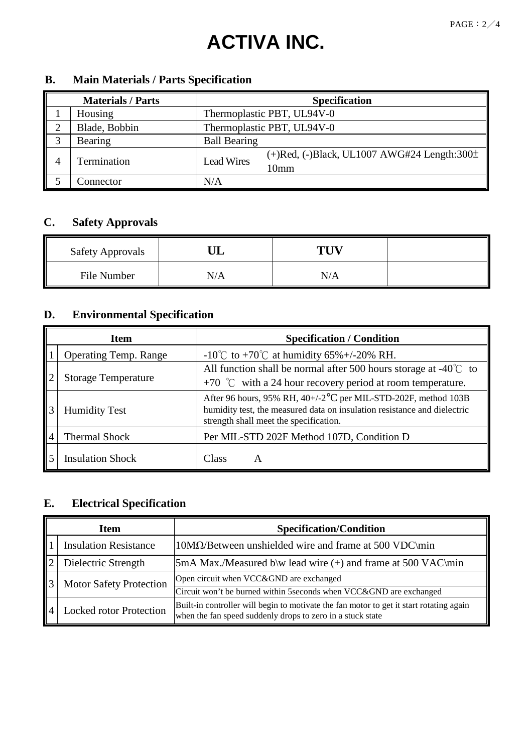|   | <b>Materials / Parts</b> | <b>Specification</b>                                                                            |  |
|---|--------------------------|-------------------------------------------------------------------------------------------------|--|
|   | Housing                  | Thermoplastic PBT, UL94V-0                                                                      |  |
|   | Blade, Bobbin            | Thermoplastic PBT, UL94V-0                                                                      |  |
|   | Bearing                  | <b>Ball Bearing</b>                                                                             |  |
| 4 | Termination              | $(+)$ Red, $(-)$ Black, UL1007 AWG#24 Length:300 $\pm$<br><b>Lead Wires</b><br>10 <sub>mm</sub> |  |
|   | Connector                | N/A                                                                                             |  |

### **B. Main Materials / Parts Specification**

### **C. Safety Approvals**

| <b>Safety Approvals</b> |     | THV |  |
|-------------------------|-----|-----|--|
| File Number             | N/A | N/A |  |

## **D. Environmental Specification**

|  | <b>Item</b>                  | <b>Specification / Condition</b>                                                                                                                                                                  |  |
|--|------------------------------|---------------------------------------------------------------------------------------------------------------------------------------------------------------------------------------------------|--|
|  | <b>Operating Temp. Range</b> | -10°C to +70°C at humidity 65%+/-20% RH.                                                                                                                                                          |  |
|  | <b>Storage Temperature</b>   | All function shall be normal after 500 hours storage at -40 $\degree$ C to                                                                                                                        |  |
|  |                              | +70 $^{\circ}$ C with a 24 hour recovery period at room temperature.                                                                                                                              |  |
|  | <b>Humidity Test</b>         | After 96 hours, 95% RH, 40+/-2 <sup>o</sup> C per MIL-STD-202F, method 103B<br>humidity test, the measured data on insulation resistance and dielectric<br>strength shall meet the specification. |  |
|  | <b>Thermal Shock</b>         | Per MIL-STD 202F Method 107D, Condition D                                                                                                                                                         |  |
|  | <b>Insulation Shock</b>      | Class<br>А                                                                                                                                                                                        |  |

### **E. Electrical Specification**

| Item |                                | <b>Specification/Condition</b>                                                                                                                        |  |
|------|--------------------------------|-------------------------------------------------------------------------------------------------------------------------------------------------------|--|
|      | <b>Insulation Resistance</b>   | $10\text{M}\Omega$ /Between unshielded wire and frame at 500 VDC\min                                                                                  |  |
|      | Dielectric Strength            | $5mA$ Max./Measured b\w lead wire $(+)$ and frame at 500 VAC\min                                                                                      |  |
|      | <b>Motor Safety Protection</b> | Open circuit when VCC&GND are exchanged                                                                                                               |  |
|      |                                | Circuit won't be burned within 5 seconds when VCC&GND are exchanged                                                                                   |  |
|      | <b>Locked rotor Protection</b> | Built-in controller will begin to motivate the fan motor to get it start rotating again<br>when the fan speed suddenly drops to zero in a stuck state |  |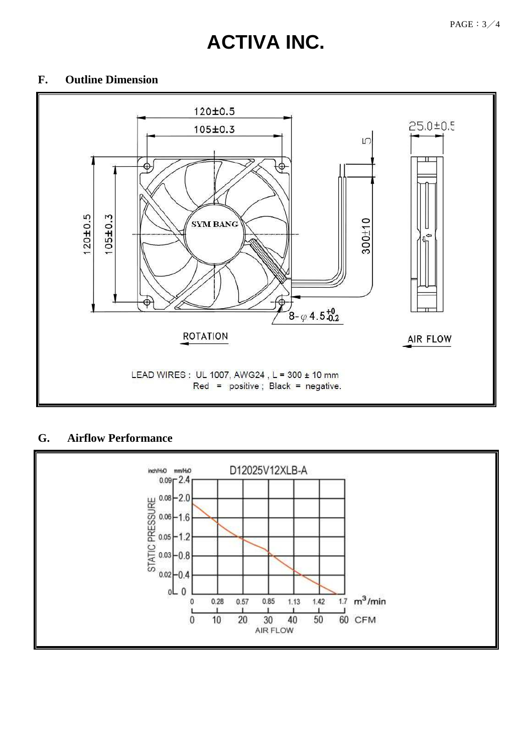#### **F. Outline Dimension**



#### **G. Airflow Performance**